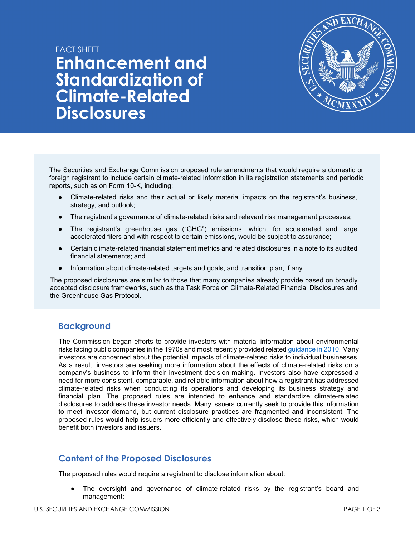# FACT SHFFT **Enhancement and Standardization of Climate-Related Disclosures**



The Securities and Exchange Commission proposed rule amendments that would require a domestic or foreign registrant to include certain climate-related information in its registration statements and periodic reports, such as on Form 10-K, including:

- Climate-related risks and their actual or likely material impacts on the registrant's business, strategy, and outlook;
- The registrant's governance of climate-related risks and relevant risk management processes;
- The registrant's greenhouse gas ("GHG") emissions, which, for accelerated and large accelerated filers and with respect to certain emissions, would be subject to assurance;
- Certain climate-related financial statement metrics and related disclosures in a note to its audited financial statements; and
- Information about climate-related targets and goals, and transition plan, if any.

The proposed disclosures are similar to those that many companies already provide based on broadly accepted disclosure frameworks, such as the Task Force on Climate-Related Financial Disclosures and the Greenhouse Gas Protocol.

## **Background**

The Commission began efforts to provide investors with material information about environmental risks facing public companies in the 1970s and most recently provided related guidance in 2010. Many investors are concerned about the potential impacts of climate-related risks to individual businesses. As a result, investors are seeking more information about the effects of climate-related risks on a company's business to inform their investment decision-making. Investors also have expressed a need for more consistent, comparable, and reliable information about how a registrant has addressed climate-related risks when conducting its operations and developing its business strategy and financial plan. The proposed rules are intended to enhance and standardize climate-related disclosures to address these investor needs. Many issuers currently seek to provide this information to meet investor demand, but current disclosure practices are fragmented and inconsistent. The proposed rules would help issuers more efficiently and effectively disclose these risks, which would benefit both investors and issuers.

## **Content of the Proposed Disclosures**

The proposed rules would require a registrant to disclose information about:

The oversight and governance of climate-related risks by the registrant's board and management;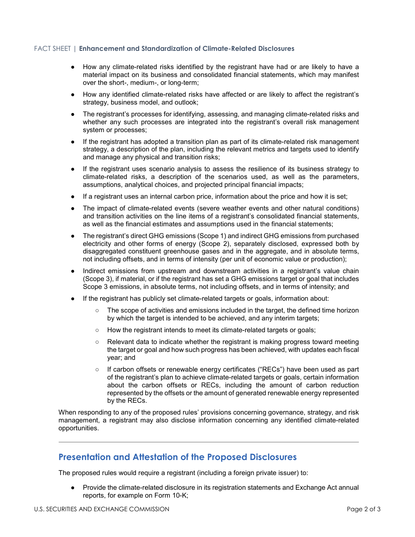#### FACT SHEET | **Enhancement and Standardization of Climate-Related Disclosures**

- How any climate-related risks identified by the registrant have had or are likely to have a material impact on its business and consolidated financial statements, which may manifest over the short-, medium-, or long-term;
- How any identified climate-related risks have affected or are likely to affect the registrant's strategy, business model, and outlook;
- The registrant's processes for identifying, assessing, and managing climate-related risks and whether any such processes are integrated into the registrant's overall risk management system or processes;
- If the registrant has adopted a transition plan as part of its climate-related risk management strategy, a description of the plan, including the relevant metrics and targets used to identify and manage any physical and transition risks;
- If the registrant uses scenario analysis to assess the resilience of its business strategy to climate-related risks, a description of the scenarios used, as well as the parameters, assumptions, analytical choices, and projected principal financial impacts;
- If a registrant uses an internal carbon price, information about the price and how it is set;
- The impact of climate-related events (severe weather events and other natural conditions) and transition activities on the line items of a registrant's consolidated financial statements, as well as the financial estimates and assumptions used in the financial statements;
- The registrant's direct GHG emissions (Scope 1) and indirect GHG emissions from purchased electricity and other forms of energy (Scope 2), separately disclosed, expressed both by disaggregated constituent greenhouse gases and in the aggregate, and in absolute terms, not including offsets, and in terms of intensity (per unit of economic value or production);
- Indirect emissions from upstream and downstream activities in a registrant's value chain (Scope 3), if material, or if the registrant has set a GHG emissions target or goal that includes Scope 3 emissions, in absolute terms, not including offsets, and in terms of intensity; and
- If the registrant has publicly set climate-related targets or goals, information about:
	- The scope of activities and emissions included in the target, the defined time horizon by which the target is intended to be achieved, and any interim targets;
	- How the registrant intends to meet its climate-related targets or goals;
	- Relevant data to indicate whether the registrant is making progress toward meeting the target or goal and how such progress has been achieved, with updates each fiscal year; and
	- If carbon offsets or renewable energy certificates ("RECs") have been used as part of the registrant's plan to achieve climate-related targets or goals, certain information about the carbon offsets or RECs, including the amount of carbon reduction represented by the offsets or the amount of generated renewable energy represented by the RECs.

When responding to any of the proposed rules' provisions concerning governance, strategy, and risk management, a registrant may also disclose information concerning any identified climate-related opportunities.

## **Presentation and Attestation of the Proposed Disclosures**

The proposed rules would require a registrant (including a foreign private issuer) to:

● Provide the climate-related disclosure in its registration statements and Exchange Act annual reports, for example on Form 10-K;